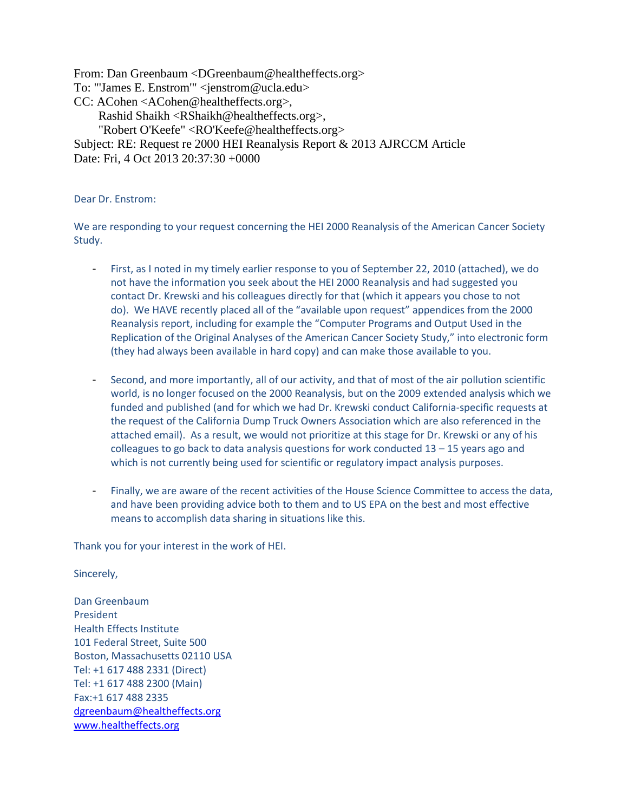From: Dan Greenbaum <DGreenbaum@healtheffects.org> To: "'James E. Enstrom'" <jenstrom@ucla.edu> CC: ACohen <ACohen@healtheffects.org>, Rashid Shaikh <RShaikh@healtheffects.org>, "Robert O'Keefe" <RO'Keefe@healtheffects.org> Subject: RE: Request re 2000 HEI Reanalysis Report & 2013 AJRCCM Article Date: Fri, 4 Oct 2013 20:37:30 +0000

Dear Dr. Enstrom:

We are responding to your request concerning the HEI 2000 Reanalysis of the American Cancer Society Study.

- First, as I noted in my timely earlier response to you of September 22, 2010 (attached), we do not have the information you seek about the HEI 2000 Reanalysis and had suggested you contact Dr. Krewski and his colleagues directly for that (which it appears you chose to not do). We HAVE recently placed all of the "available upon request" appendices from the 2000 Reanalysis report, including for example the "Computer Programs and Output Used in the Replication of the Original Analyses of the American Cancer Society Study," into electronic form (they had always been available in hard copy) and can make those available to you.
- Second, and more importantly, all of our activity, and that of most of the air pollution scientific world, is no longer focused on the 2000 Reanalysis, but on the 2009 extended analysis which we funded and published (and for which we had Dr. Krewski conduct California-specific requests at the request of the California Dump Truck Owners Association which are also referenced in the attached email). As a result, we would not prioritize at this stage for Dr. Krewski or any of his colleagues to go back to data analysis questions for work conducted  $13 - 15$  years ago and which is not currently being used for scientific or regulatory impact analysis purposes.
- Finally, we are aware of the recent activities of the House Science Committee to access the data, and have been providing advice both to them and to US EPA on the best and most effective means to accomplish data sharing in situations like this.

Thank you for your interest in the work of HEI.

Sincerely,

Dan Greenbaum President Health Effects Institute 101 Federal Street, Suite 500 Boston, Massachusetts 02110 USA Tel: +1 617 488 2331 (Direct) Tel: +1 617 488 2300 (Main) Fax:+1 617 488 2335 [dgreenbaum@healtheffects.org](mailto:dgreenbaum@healtheffects.org) [www.healtheffects.org](http://www.healtheffects.org/)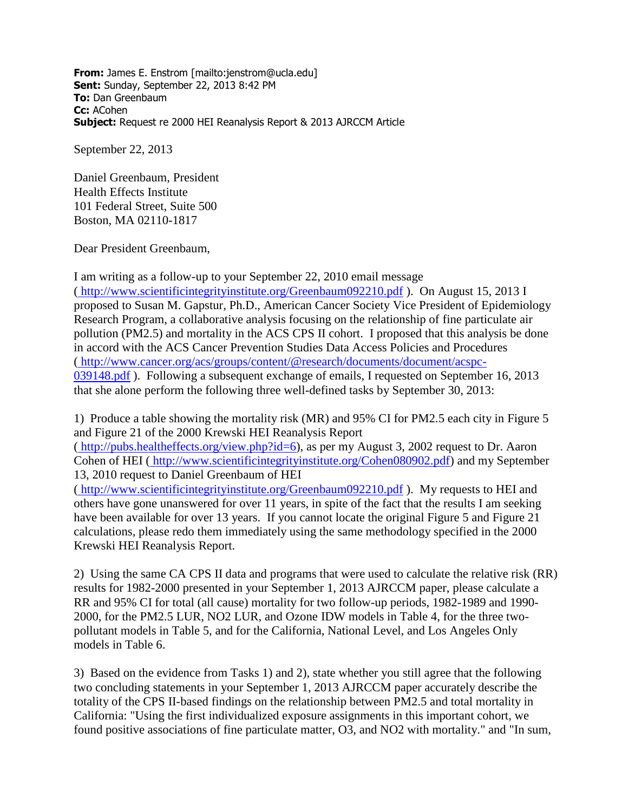**From:** James E. Enstrom [mailto:jenstrom@ucla.edu] **Sent:** Sunday, September 22, 2013 8:42 PM **To:** Dan Greenbaum **Cc:** ACohen **Subject:** Request re 2000 HEI Reanalysis Report & 2013 AJRCCM Article

September 22, 2013

Daniel Greenbaum, President Health Effects Institute 101 Federal Street, Suite 500 Boston, MA 02110-1817

Dear President Greenbaum,

I am writing as a follow-up to your September 22, 2010 email message ( [http://www.scientificintegrityinstitute.org/Greenbaum092210.pdf](http://www.scientificintegrityinstitute.org/greenbaum092210.pdf) ). On August 15, 2013 I proposed to Susan M. Gapstur, Ph.D., American Cancer Society Vice President of Epidemiology Research Program, a collaborative analysis focusing on the relationship of fine particulate air pollution (PM2.5) and mortality in the ACS CPS II cohort. I proposed that this analysis be done in accord with the ACS Cancer Prevention Studies Data Access Policies and Procedures ( [http://www.cancer.org/acs/groups/content/@research/documents/document/acspc-](http://www.cancer.org/acs/groups/content/@research/documents/document/acspc-039148.pdf)[039148.pdf](http://www.cancer.org/acs/groups/content/@research/documents/document/acspc-039148.pdf) ). Following a subsequent exchange of emails, I requested on September 16, 2013 that she alone perform the following three well-defined tasks by September 30, 2013:

1) Produce a table showing the mortality risk (MR) and 95% CI for PM2.5 each city in Figure 5 and Figure 21 of the 2000 Krewski HEI Reanalysis Report

( [http://pubs.healtheffects.org/view.php?id=6\)](http://pubs.healtheffects.org/view.php?id=6), as per my August 3, 2002 request to Dr. Aaron Cohen of HEI ( [http://www.scientificintegrityinstitute.org/Cohen080902.pdf\)](http://www.scientificintegrityinstitute.org/cohen080902.pdf) and my September 13, 2010 request to Daniel Greenbaum of HEI

( [http://www.scientificintegrityinstitute.org/Greenbaum092210.pdf](http://www.scientificintegrityinstitute.org/greenbaum092210.pdf) ). My requests to HEI and others have gone unanswered for over 11 years, in spite of the fact that the results I am seeking have been available for over 13 years. If you cannot locate the original Figure 5 and Figure 21 calculations, please redo them immediately using the same methodology specified in the 2000 Krewski HEI Reanalysis Report.

2) Using the same CA CPS II data and programs that were used to calculate the relative risk (RR) results for 1982-2000 presented in your September 1, 2013 AJRCCM paper, please calculate a RR and 95% CI for total (all cause) mortality for two follow-up periods, 1982-1989 and 1990- 2000, for the PM2.5 LUR, NO2 LUR, and Ozone IDW models in Table 4, for the three twopollutant models in Table 5, and for the California, National Level, and Los Angeles Only models in Table 6.

3) Based on the evidence from Tasks 1) and 2), state whether you still agree that the following two concluding statements in your September 1, 2013 AJRCCM paper accurately describe the totality of the CPS II-based findings on the relationship between PM2.5 and total mortality in California: "Using the first individualized exposure assignments in this important cohort, we found positive associations of fine particulate matter, O3, and NO2 with mortality." and "In sum,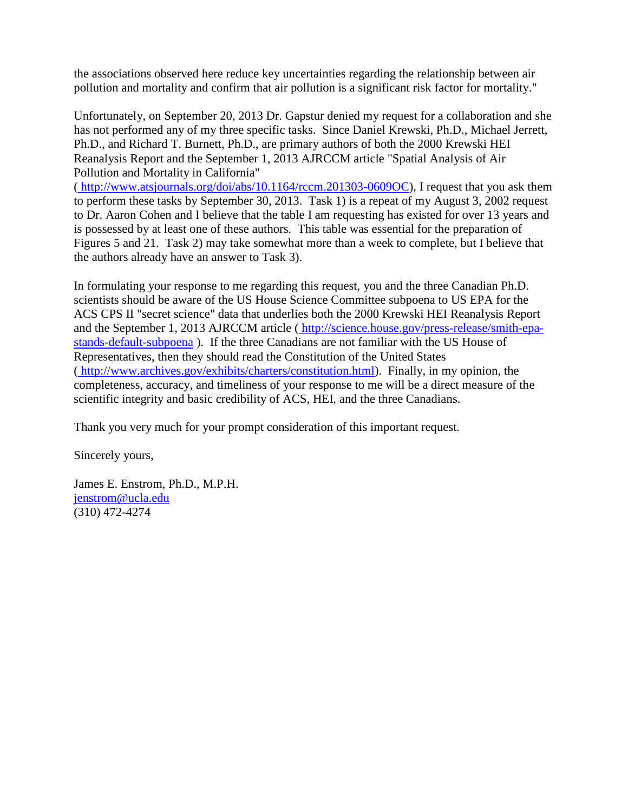the associations observed here reduce key uncertainties regarding the relationship between air pollution and mortality and confirm that air pollution is a significant risk factor for mortality."

Unfortunately, on September 20, 2013 Dr. Gapstur denied my request for a collaboration and she has not performed any of my three specific tasks. Since Daniel Krewski, Ph.D., Michael Jerrett, Ph.D., and Richard T. Burnett, Ph.D., are primary authors of both the 2000 Krewski HEI Reanalysis Report and the September 1, 2013 AJRCCM article "Spatial Analysis of Air Pollution and Mortality in California"

( [http://www.atsjournals.org/doi/abs/10.1164/rccm.201303-0609OC\)](http://www.atsjournals.org/doi/abs/10.1164/rccm.201303-0609OC), I request that you ask them to perform these tasks by September 30, 2013. Task 1) is a repeat of my August 3, 2002 request to Dr. Aaron Cohen and I believe that the table I am requesting has existed for over 13 years and is possessed by at least one of these authors. This table was essential for the preparation of Figures 5 and 21. Task 2) may take somewhat more than a week to complete, but I believe that the authors already have an answer to Task 3).

In formulating your response to me regarding this request, you and the three Canadian Ph.D. scientists should be aware of the US House Science Committee subpoena to US EPA for the ACS CPS II "secret science" data that underlies both the 2000 Krewski HEI Reanalysis Report and the September 1, 2013 AJRCCM article ( [http://science.house.gov/press-release/smith-epa](http://science.house.gov/press-release/smith-epa-stands-default-subpoena)[stands-default-subpoena](http://science.house.gov/press-release/smith-epa-stands-default-subpoena) ). If the three Canadians are not familiar with the US House of Representatives, then they should read the Constitution of the United States ( [http://www.archives.gov/exhibits/charters/constitution.html\)](http://www.archives.gov/exhibits/charters/constitution.html). Finally, in my opinion, the completeness, accuracy, and timeliness of your response to me will be a direct measure of the scientific integrity and basic credibility of ACS, HEI, and the three Canadians.

Thank you very much for your prompt consideration of this important request.

Sincerely yours,

James E. Enstrom, Ph.D., M.P.H. [jenstrom@ucla.edu](mailto:jenstrom@ucla.edu) (310) 472-4274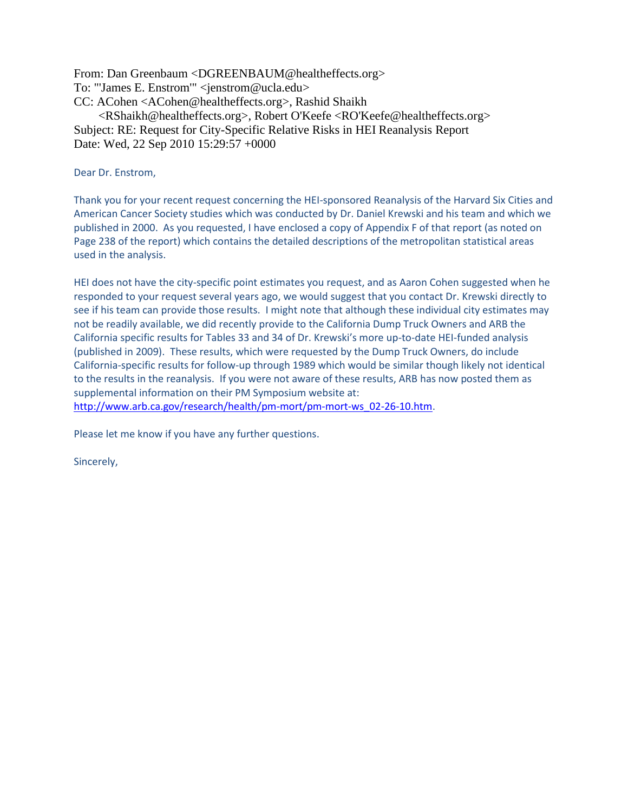From: Dan Greenbaum <DGREENBAUM@healtheffects.org> To: "'James E. Enstrom'" <jenstrom@ucla.edu> CC: ACohen <ACohen@healtheffects.org>, Rashid Shaikh <RShaikh@healtheffects.org>, Robert O'Keefe <RO'Keefe@healtheffects.org> Subject: RE: Request for City-Specific Relative Risks in HEI Reanalysis Report Date: Wed, 22 Sep 2010 15:29:57 +0000

## Dear Dr. Enstrom,

Thank you for your recent request concerning the HEI-sponsored Reanalysis of the Harvard Six Cities and American Cancer Society studies which was conducted by Dr. Daniel Krewski and his team and which we published in 2000. As you requested, I have enclosed a copy of Appendix F of that report (as noted on Page 238 of the report) which contains the detailed descriptions of the metropolitan statistical areas used in the analysis.

HEI does not have the city-specific point estimates you request, and as Aaron Cohen suggested when he responded to your request several years ago, we would suggest that you contact Dr. Krewski directly to see if his team can provide those results. I might note that although these individual city estimates may not be readily available, we did recently provide to the California Dump Truck Owners and ARB the California specific results for Tables 33 and 34 of Dr. Krewski's more up-to-date HEI-funded analysis (published in 2009). These results, which were requested by the Dump Truck Owners, do include California-specific results for follow-up through 1989 which would be similar though likely not identical to the results in the reanalysis. If you were not aware of these results, ARB has now posted them as supplemental information on their PM Symposium website at: [http://www.arb.ca.gov/research/health/pm-mort/pm-mort-ws\\_02-26-10.htm.](http://www.arb.ca.gov/research/health/pm-mort/pm-mort-ws_02-26-10.htm)

Please let me know if you have any further questions.

Sincerely,